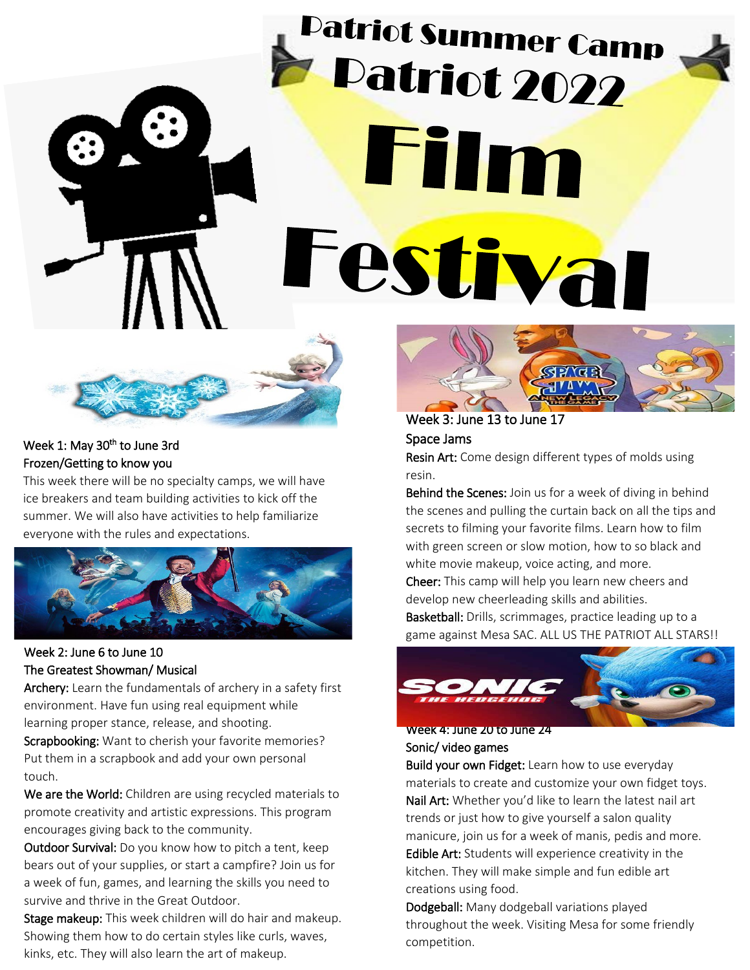**Patriot Summer Camp** Patriot 2022  $\overline{a}$ ` j



### Week 1: May 30<sup>th</sup> to June 3rd Frozen/Getting to know you

This week there will be no specialty camps, we will have ice breakers and team building activities to kick off the summer. We will also have activities to help familiarize everyone with the rules and expectations.



### Week 2: June 6 to June 10 The Greatest Showman/ Musical

Archery: Learn the fundamentals of archery in a safety first environment. Have fun using real equipment while learning proper stance, release, and shooting.

Scrapbooking: Want to cherish your favorite memories? Put them in a scrapbook and add your own personal touch.

We are the World: Children are using recycled materials to promote creativity and artistic expressions. This program encourages giving back to the community.

Outdoor Survival: Do you know how to pitch a tent, keep bears out of your supplies, or start a campfire? Join us for a week of fun, games, and learning the skills you need to survive and thrive in the Great Outdoor.

Stage makeup: This week children will do hair and makeup. Showing them how to do certain styles like curls, waves, kinks, etc. They will also learn the art of makeup.



Week 3: June 13 to June 17 Space Jams

Resin Art: Come design different types of molds using resin.

Behind the Scenes: Join us for a week of diving in behind the scenes and pulling the curtain back on all the tips and secrets to filming your favorite films. Learn how to film with green screen or slow motion, how to so black and white movie makeup, voice acting, and more.

Cheer: This camp will help you learn new cheers and develop new cheerleading skills and abilities.

Basketball: Drills, scrimmages, practice leading up to a game against Mesa SAC. ALL US THE PATRIOT ALL STARS!!



Week 4: June 20 to June 24 Sonic/ video games

Build your own Fidget: Learn how to use everyday materials to create and customize your own fidget toys. Nail Art: Whether you'd like to learn the latest nail art trends or just how to give yourself a salon quality manicure, join us for a week of manis, pedis and more. Edible Art: Students will experience creativity in the kitchen. They will make simple and fun edible art creations using food.

Dodgeball: Many dodgeball variations played throughout the week. Visiting Mesa for some friendly competition.